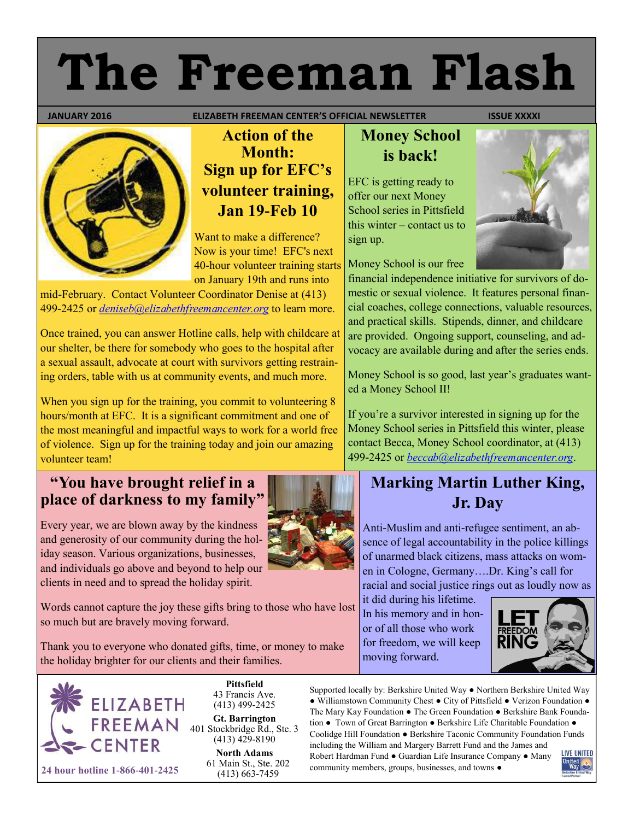# **The Freeman Flash**

 **JANUARY 2016 ELIZABETH FREEMAN CENTER'S OFFICIAL NEWSLETTER ISSUE XXXXI** 



# **Action of the Month: Sign up for EFC's volunteer training, Jan 19-Feb 10**

Want to make a difference? Now is your time! EFC's next 40-hour volunteer training starts on January 19th and runs into

mid-February. Contact Volunteer Coordinator Denise at (413) 499-2425 or *[deniseb@elizabethfreemancenter.org](mailto:deniseb@elizabethfreemancenter.org)* to learn more.

Once trained, you can answer Hotline calls, help with childcare at our shelter, be there for somebody who goes to the hospital after a sexual assault, advocate at court with survivors getting restraining orders, table with us at community events, and much more.

When you sign up for the training, you commit to volunteering 8 hours/month at EFC. It is a significant commitment and one of the most meaningful and impactful ways to work for a world free of violence. Sign up for the training today and join our amazing volunteer team!

#### **"You have brought relief in a place of darkness to my family"**

Every year, we are blown away by the kindness and generosity of our community during the holiday season. Various organizations, businesses, and individuals go above and beyond to help our clients in need and to spread the holiday spirit.

Words cannot capture the joy these gifts bring to those who have lost so much but are bravely moving forward.

Thank you to everyone who donated gifts, time, or money to make the holiday brighter for our clients and their families.



**Pittsfield** 43 Francis Ave. (413) 499-2425

**Gt. Barrington** 401 Stockbridge Rd., Ste. 3  $(413)$  429-8190

**North Adams** 61 Main St., Ste. 202

# **Money School is back!**

EFC is getting ready to offer our next Money School series in Pittsfield this winter – contact us to sign up.

Money School is our free

financial independence initiative for survivors of domestic or sexual violence. It features personal financial coaches, college connections, valuable resources, and practical skills. Stipends, dinner, and childcare are provided. Ongoing support, counseling, and advocacy are available during and after the series ends.

Money School is so good, last year's graduates wanted a Money School II!

If you're a survivor interested in signing up for the Money School series in Pittsfield this winter, please contact Becca, Money School coordinator, at (413) 499-2425 or *[beccab@elizabethfreemancenter.org](mailto:beccab@elizabethfreemancenter.org)*.

# **Marking Martin Luther King, Jr. Day**

Anti-Muslim and anti-refugee sentiment, an absence of legal accountability in the police killings of unarmed black citizens, mass attacks on women in Cologne, Germany….Dr. King's call for racial and social justice rings out as loudly now as

it did during his lifetime. In his memory and in honor of all those who work for freedom, we will keep moving forward.



Supported locally by: Berkshire United Way ● Northern Berkshire United Way ● Williamstown Community Chest ● City of Pittsfield ● Verizon Foundation ● The Mary Kay Foundation ● The Green Foundation ● Berkshire Bank Foundation ● Town of Great Barrington ● Berkshire Life Charitable Foundation ● Coolidge Hill Foundation ● Berkshire Taconic Community Foundation Funds including the William and Margery Barrett Fund and the James and

Robert Hardman Fund ● Guardian Life Insurance Company ● Many community members, groups, businesses, and towns ●